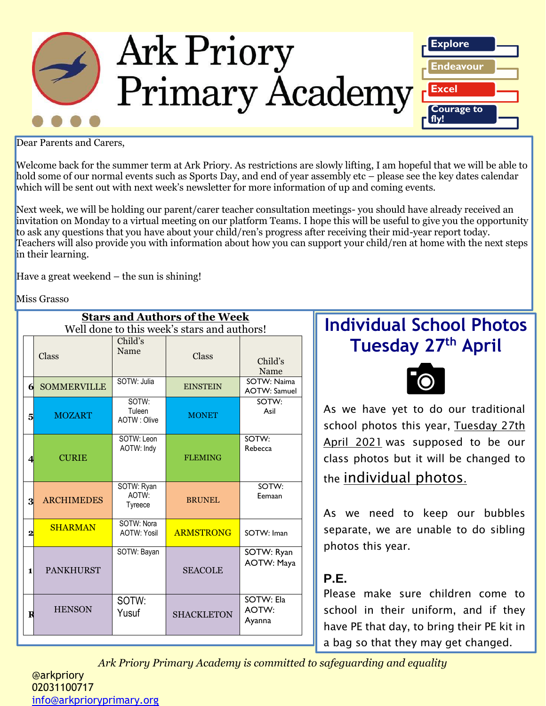

Dear Parents and Carers,

Welcome back for the summer term at Ark Priory. As restrictions are slowly lifting, I am hopeful that we will be able to hold some of our normal events such as Sports Day, and end of year assembly etc – please see the key dates calendar which will be sent out with next week's newsletter for more information of up and coming events.

Next week, we will be holding our parent/carer teacher consultation meetings- you should have already received an invitation on Monday to a virtual meeting on our platform Teams. I hope this will be useful to give you the opportunity to ask any questions that you have about your child/ren's progress after receiving their mid-year report today. Teachers will also provide you with information about how you can support your child/ren at home with the next steps in their learning.

Have a great weekend – the sun is shining!

Miss Grasso

| <b>Stars and Authors of the Week</b><br>Well done to this week's stars and authors! |                    |                                  |                   |                                    |  |  |
|-------------------------------------------------------------------------------------|--------------------|----------------------------------|-------------------|------------------------------------|--|--|
|                                                                                     | Class              | Child's<br>Name                  | Class             | Child's<br>Name                    |  |  |
| 6                                                                                   | <b>SOMMERVILLE</b> | SOTW: Julia                      | <b>EINSTEIN</b>   | SOTW: Naima<br><b>AOTW: Samuel</b> |  |  |
| 5                                                                                   | <b>MOZART</b>      | SOTW:<br>Tuleen<br>AOTW: Olive   | <b>MONET</b>      | SOTW:<br>Asil                      |  |  |
| $\boldsymbol{\Delta}$                                                               | <b>CURIE</b>       | SOTW: Leon<br>AOTW: Indy         | <b>FLEMING</b>    | SOTW:<br>Rebecca                   |  |  |
| 3                                                                                   | <b>ARCHIMEDES</b>  | SOTW: Ryan<br>AOTW:<br>Tyreece   | <b>BRUNEL</b>     | SOTW:<br>Eemaan                    |  |  |
| 2                                                                                   | <b>SHARMAN</b>     | SOTW: Nora<br><b>AOTW: Yosil</b> | <b>ARMSTRONG</b>  | SOTW: Iman                         |  |  |
| 1                                                                                   | <b>PANKHURST</b>   | SOTW: Bayan                      | <b>SEACOLE</b>    | SOTW: Ryan<br><b>AOTW: Maya</b>    |  |  |
| $\bf{R}$                                                                            | <b>HENSON</b>      | SOTW:<br>Yusuf                   | <b>SHACKLETON</b> | SOTW: Ela<br>AOTW:<br>Ayanna       |  |  |

# **Individual School Photos Tuesday 27 th April**



As we have yet to do our traditional school photos this year, Tuesday 27th April 2021 was supposed to be our class photos but it will be changed to the individual photos.

As we need to keep our bubbles separate, we are unable to do sibling photos this year.

## **P.E.**

Please make sure children come to school in their uniform, and if they have PE that day, to bring their PE kit in a bag so that they may get changed.

*Ark Priory Primary Academy is committed to safeguarding and equality* 

@arkpriory 02031100717 [info@arkprioryprimary.org](mailto:info@arkprioryprimary.org)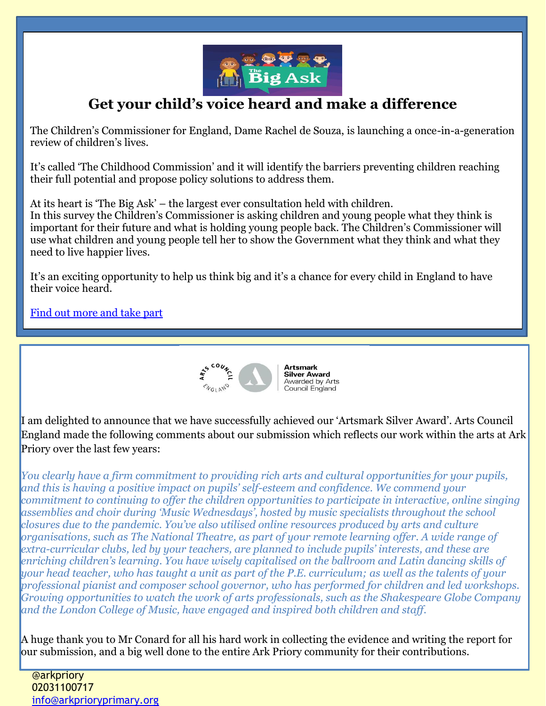

## **Get your child's voice heard and make a difference**

The Children's Commissioner for England, Dame Rachel de Souza, is launching a once-in-a-generation review of children's lives.

It's called 'The Childhood Commission' and it will identify the barriers preventing children reaching their full potential and propose policy solutions to address them.

At its heart is 'The Big Ask' – the largest ever consultation held with children. In this survey the Children's Commissioner is asking children and young people what they think is important for their future and what is holding young people back. The Children's Commissioner will use what children and young people tell her to show the Government what they think and what they need to live happier lives.

It's an exciting opportunity to help us think big and it's a chance for every child in England to have their voice heard.

[Find out more and take part](https://www.childrenscommissioner.gov.uk/thebigask)



I am delighted to announce that we have successfully achieved our 'Artsmark Silver Award'. Arts Council England made the following comments about our submission which reflects our work within the arts at Ark Priory over the last few years:

*You clearly have a firm commitment to providing rich arts and cultural opportunities for your pupils, and this is having a positive impact on pupils' self-esteem and confidence. We commend your commitment to continuing to offer the children opportunities to participate in interactive, online singing assemblies and choir during 'Music Wednesdays', hosted by music specialists throughout the school closures due to the pandemic. You've also utilised online resources produced by arts and culture organisations, such as The National Theatre, as part of your remote learning offer. A wide range of extra-curricular clubs, led by your teachers, are planned to include pupils' interests, and these are enriching children's learning. You have wisely capitalised on the ballroom and Latin dancing skills of your head teacher, who has taught a unit as part of the P.E. curriculum; as well as the talents of your professional pianist and composer school governor, who has performed for children and led workshops. Growing opportunities to watch the work of arts professionals, such as the Shakespeare Globe Company and the London College of Music, have engaged and inspired both children and staff.*

A huge thank you to Mr Conard for all his hard work in collecting the evidence and writing the report for our submission, and a big well done to the entire Ark Priory community for their contributions.

@arkpriory 02031100717 [info@arkprioryprimary.org](mailto:info@arkprioryprimary.org)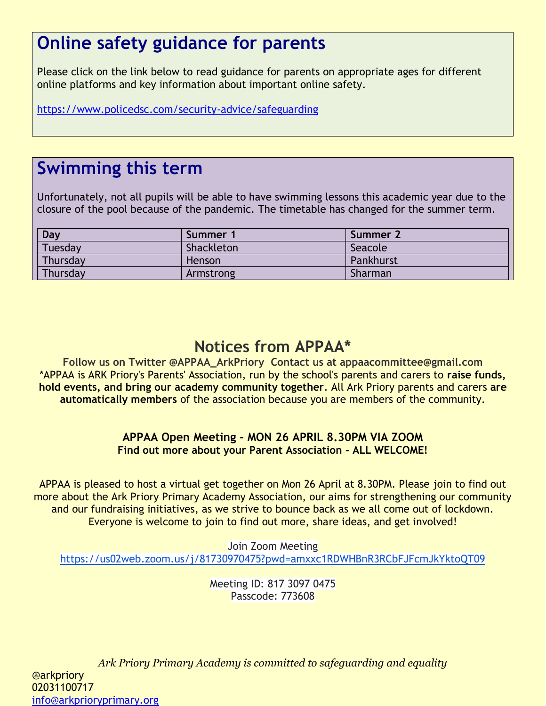# **Online safety guidance for parents**

Please click on the link below to read guidance for parents on appropriate ages for different online platforms and key information about important online safety.

<https://www.policedsc.com/security-advice/safeguarding>

# **Swimming this term**

Unfortunately, not all pupils will be able to have swimming lessons this academic year due to the closure of the pool because of the pandemic. The timetable has changed for the summer term.

| Day      | Summer 1      | Summer 2  |
|----------|---------------|-----------|
| Tuesday  | Shackleton    | Seacole   |
| Thursday | <b>Henson</b> | Pankhurst |
| Thursday | Armstrong     | Sharman   |

## **Notices from APPAA\***

**Follow us on Twitter @APPAA\_ArkPriory Contact us at appaacommittee@gmail.com** \*APPAA is ARK Priory's Parents' Association, run by the school's parents and carers to **raise funds, hold events, and bring our academy community together**. All Ark Priory parents and carers **are automatically members** of the association because you are members of the community.

### **APPAA Open Meeting - MON 26 APRIL 8.30PM VIA ZOOM Find out more about your Parent Association - ALL WELCOME!**

APPAA is pleased to host a virtual get together on Mon 26 April at 8.30PM. Please join to find out more about the Ark Priory Primary Academy Association, our aims for strengthening our community and our fundraising initiatives, as we strive to bounce back as we all come out of lockdown. Everyone is welcome to join to find out more, share ideas, and get involved!

Join Zoom Meeting <https://us02web.zoom.us/j/81730970475?pwd=amxxc1RDWHBnR3RCbFJFcmJkYktoQT09>

> Meeting ID: 817 3097 0475 Passcode: 773608

*Ark Priory Primary Academy is committed to safeguarding and equality*  @arkpriory 02031100717 [info@arkprioryprimary.org](mailto:info@arkprioryprimary.org)